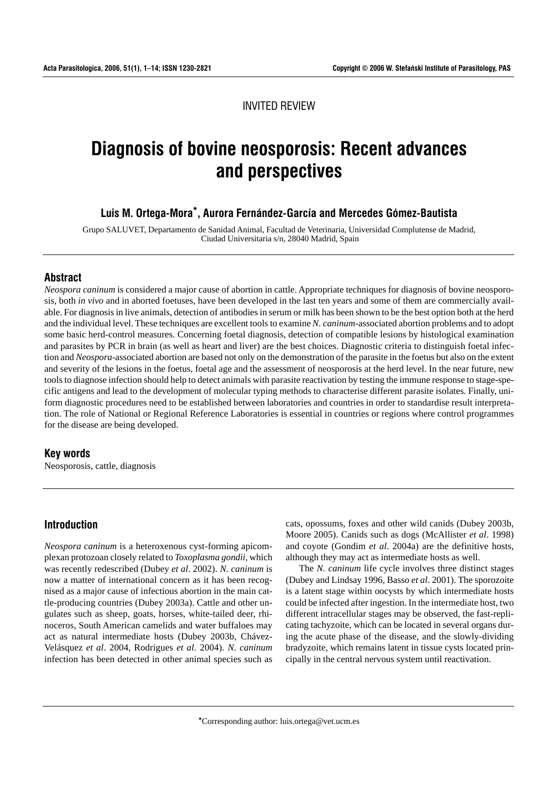# INVITED REVIEW

# **Diagnosis of bovine neosporosis: Recent advances and perspectives**

# **Luis M. Ortega-Mora\*, Aurora Fernández-García and Mercedes Gómez-Bautista**

Grupo SALUVET, Departamento de Sanidad Animal, Facultad de Veterinaria, Universidad Complutense de Madrid, Ciudad Universitaria s/n, 28040 Madrid, Spain

# **Abstract**

*Neospora caninum* is considered a major cause of abortion in cattle. Appropriate techniques for diagnosis of bovine neosporosis, both *in vivo* and in aborted foetuses, have been developed in the last ten years and some of them are commercially available. For diagnosis in live animals, detection of antibodies in serum or milk has been shown to be the best option both at the herd and the individual level. These techniques are excellent tools to examine *N. caninum*-associated abortion problems and to adopt some basic herd-control measures. Concerning foetal diagnosis, detection of compatible lesions by histological examination and parasites by PCR in brain (as well as heart and liver) are the best choices. Diagnostic criteria to distinguish foetal infection and *Neospora*-associated abortion are based not only on the demonstration of the parasite in the foetus but also on the extent and severity of the lesions in the foetus, foetal age and the assessment of neosporosis at the herd level. In the near future, new tools to diagnose infection should help to detect animals with parasite reactivation by testing the immune response to stage-specific antigens and lead to the development of molecular typing methods to characterise different parasite isolates. Finally, uniform diagnostic procedures need to be established between laboratories and countries in order to standardise result interpretation. The role of National or Regional Reference Laboratories is essential in countries or regions where control programmes for the disease are being developed.

# **Key words**

Neosporosis, cattle, diagnosis

# **Introduction**

*Neospora caninum* is a heteroxenous cyst-forming apicomplexan protozoan closely related to *Toxoplasma gondii*, which was recently redescribed (Dubey *et al*. 2002). *N. caninum* is now a matter of international concern as it has been recognised as a major cause of infectious abortion in the main cattle-producing countries (Dubey 2003a). Cattle and other ungulates such as sheep, goats, horses, white-tailed deer, rhinoceros, South American camelids and water buffaloes may act as natural intermediate hosts (Dubey 2003b, Chávez-Velásquez *et al*. 2004, Rodrigues *et al*. 2004). *N. caninum* infection has been detected in other animal species such as cats, opossums, foxes and other wild canids (Dubey 2003b, Moore 2005). Canids such as dogs (McAllister *et al*. 1998) and coyote (Gondim *et al*. 2004a) are the definitive hosts, although they may act as intermediate hosts as well.

The *N. caninum* life cycle involves three distinct stages (Dubey and Lindsay 1996, Basso *et al*. 2001). The sporozoite is a latent stage within oocysts by which intermediate hosts could be infected after ingestion. In the intermediate host, two different intracellular stages may be observed, the fast-replicating tachyzoite, which can be located in several organs during the acute phase of the disease, and the slowly-dividing bradyzoite, which remains latent in tissue cysts located principally in the central nervous system until reactivation.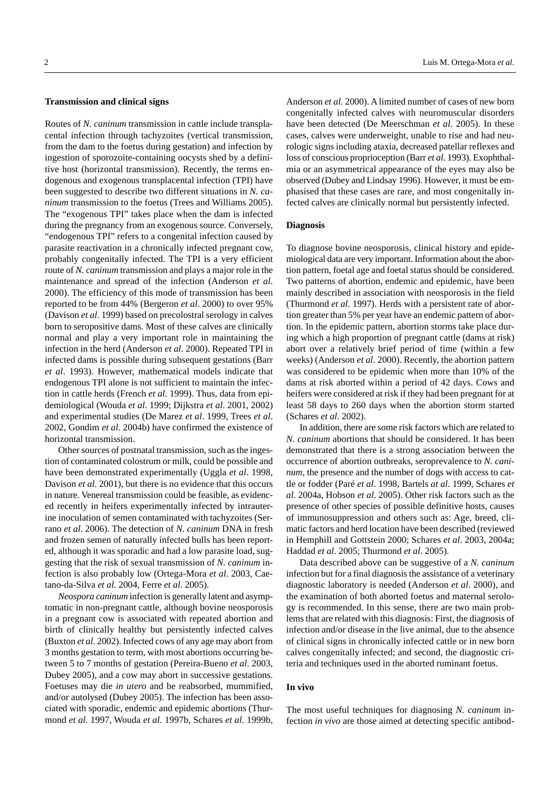#### **Transmission and clinical signs**

Routes of *N. caninum* transmission in cattle include transplacental infection through tachyzoites (vertical transmission, from the dam to the foetus during gestation) and infection by ingestion of sporozoite-containing oocysts shed by a definitive host (horizontal transmission). Recently, the terms endogenous and exogenous transplacental infection (TPI) have been suggested to describe two different situations in *N. caninum* transmission to the foetus (Trees and Williams 2005). The "exogenous TPI" takes place when the dam is infected during the pregnancy from an exogenous source. Conversely, "endogenous TPI" refers to a congenital infection caused by parasite reactivation in a chronically infected pregnant cow, probably congenitally infected. The TPI is a very efficient route of *N. caninum* transmission and plays a major role in the maintenance and spread of the infection (Anderson *et al*. 2000). The efficiency of this mode of transmission has been reported to be from 44% (Bergeron *et al*. 2000) to over 95% (Davison *et al*. 1999) based on precolostral serology in calves born to seropositive dams. Most of these calves are clinically normal and play a very important role in maintaining the infection in the herd (Anderson *et al*. 2000). Repeated TPI in infected dams is possible during subsequent gestations (Barr *et al*. 1993). However, mathematical models indicate that endogenous TPI alone is not sufficient to maintain the infection in cattle herds (French *et al*. 1999). Thus, data from epidemiological (Wouda *et al*. 1999; Dijkstra *et al*. 2001, 2002) and experimental studies (De Marez *et al*. 1999, Trees *et al*. 2002, Gondim *et al*. 2004b) have confirmed the existence of horizontal transmission.

Other sources of postnatal transmission, such as the ingestion of contaminated colostrum or milk, could be possible and have been demonstrated experimentally (Uggla *et al*. 1998, Davison *et al*. 2001), but there is no evidence that this occurs in nature. Venereal transmission could be feasible, as evidenced recently in heifers experimentally infected by intrauterine inoculation of semen contaminated with tachyzoites (Serrano *et al*. 2006). The detection of *N. caninum* DNA in fresh and frozen semen of naturally infected bulls has been reported, although it was sporadic and had a low parasite load, suggesting that the risk of sexual transmission of *N. caninum* infection is also probably low (Ortega-Mora *et al*. 2003, Caetano-da-Silva *et al*. 2004, Ferre *et al*. 2005).

*Neospora caninum* infection is generally latent and asymptomatic in non-pregnant cattle, although bovine neosporosis in a pregnant cow is associated with repeated abortion and birth of clinically healthy but persistently infected calves (Buxton *et al*. 2002). Infected cows of any age may abort from 3 months gestation to term, with most abortions occurring between 5 to 7 months of gestation (Pereira-Bueno *et al*. 2003, Dubey 2005), and a cow may abort in successive gestations. Foetuses may die *in utero* and be reabsorbed, mummified, and/or autolysed (Dubey 2005). The infection has been associated with sporadic, endemic and epidemic abortions (Thurmond *et al*. 1997, Wouda *et al*. 1997b, Schares *et al*. 1999b, Anderson *et al*. 2000). A limited number of cases of new born congenitally infected calves with neuromuscular disorders have been detected (De Meerschman *et al*. 2005). In these cases, calves were underweight, unable to rise and had neurologic signs including ataxia, decreased patellar reflexes and loss of conscious proprioception (Barr *et al*. 1993). Exophthalmia or an asymmetrical appearance of the eyes may also be observed (Dubey and Lindsay 1996). However, it must be emphasised that these cases are rare, and most congenitally infected calves are clinically normal but persistently infected.

### **Diagnosis**

To diagnose bovine neosporosis, clinical history and epidemiological data are very important. Information about the abortion pattern, foetal age and foetal status should be considered. Two patterns of abortion, endemic and epidemic, have been mainly described in association with neosporosis in the field (Thurmond *et al*. 1997). Herds with a persistent rate of abortion greater than 5% per year have an endemic pattern of abortion. In the epidemic pattern, abortion storms take place during which a high proportion of pregnant cattle (dams at risk) abort over a relatively brief period of time (within a few weeks) (Anderson *et al*. 2000). Recently, the abortion pattern was considered to be epidemic when more than 10% of the dams at risk aborted within a period of 42 days. Cows and heifers were considered at risk if they had been pregnant for at least 58 days to 260 days when the abortion storm started (Schares *et al*. 2002).

In addition, there are some risk factors which are related to *N. caninum* abortions that should be considered. It has been demonstrated that there is a strong association between the occurrence of abortion outbreaks, seroprevalence to *N. caninum*, the presence and the number of dogs with access to cattle or fodder (Paré *et al*. 1998, Bartels *at al*. 1999, Schares *et al*. 2004a, Hobson *et al*. 2005). Other risk factors such as the presence of other species of possible definitive hosts, causes of immunosuppression and others such as: Age, breed, climatic factors and herd location have been described (reviewed in Hemphill and Gottstein 2000; Schares *et al*. 2003, 2004a; Haddad *et al*. 2005; Thurmond *et al*. 2005).

Data described above can be suggestive of a *N. caninum* infection but for a final diagnosis the assistance of a veterinary diagnostic laboratory is needed (Anderson *et al*. 2000), and the examination of both aborted foetus and maternal serology is recommended. In this sense, there are two main problems that are related with this diagnosis: First, the diagnosis of infection and/or disease in the live animal, due to the absence of clinical signs in chronically infected cattle or in new born calves congenitally infected; and second, the diagnostic criteria and techniques used in the aborted ruminant foetus.

#### **In vivo**

The most useful techniques for diagnosing *N. caninum* infection *in vivo* are those aimed at detecting specific antibod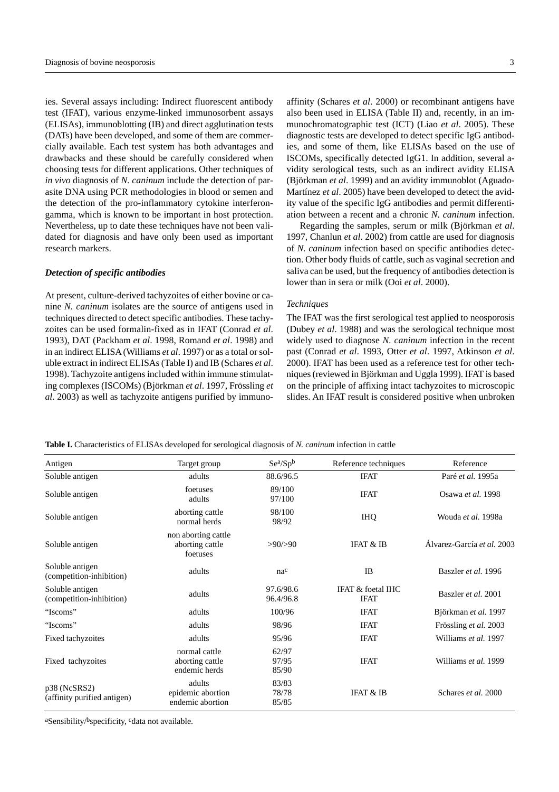ies. Several assays including: Indirect fluorescent antibody test (IFAT), various enzyme-linked immunosorbent assays (ELISAs), immunoblotting (IB) and direct agglutination tests (DATs) have been developed, and some of them are commercially available. Each test system has both advantages and drawbacks and these should be carefully considered when choosing tests for different applications. Other techniques of *in vivo* diagnosis of *N. caninum* include the detection of parasite DNA using PCR methodologies in blood or semen and the detection of the pro-inflammatory cytokine interferongamma, which is known to be important in host protection. Nevertheless, up to date these techniques have not been validated for diagnosis and have only been used as important research markers.

#### *Detection of specific antibodies*

At present, culture-derived tachyzoites of either bovine or canine *N. caninum* isolates are the source of antigens used in techniques directed to detect specific antibodies. These tachyzoites can be used formalin-fixed as in IFAT (Conrad *et al*. 1993), DAT (Packham *et al*. 1998, Romand *et al*. 1998) and in an indirect ELISA (Williams *et al*. 1997) or as a total or soluble extract in indirect ELISAs (Table I) and IB (Schares *et al*. 1998). Tachyzoite antigens included within immune stimulating complexes (ISCOMs) (Björkman *et al*. 1997, Frössling *et al*. 2003) as well as tachyzoite antigens purified by immuno-

affinity (Schares *et al*. 2000) or recombinant antigens have also been used in ELISA (Table II) and, recently, in an immunochromatographic test (ICT) (Liao *et al*. 2005). These diagnostic tests are developed to detect specific IgG antibodies, and some of them, like ELISAs based on the use of ISCOMs, specifically detected IgG1. In addition, several avidity serological tests, such as an indirect avidity ELISA (Björkman *et al*. 1999) and an avidity immunoblot (Aguado-Martínez *et al*. 2005) have been developed to detect the avidity value of the specific IgG antibodies and permit differentiation between a recent and a chronic *N. caninum* infection.

Regarding the samples, serum or milk (Björkman *et al*. 1997, Chanlun *et al*. 2002) from cattle are used for diagnosis of *N. caninum* infection based on specific antibodies detection. Other body fluids of cattle, such as vaginal secretion and saliva can be used, but the frequency of antibodies detection is lower than in sera or milk (Ooi *et al*. 2000).

### *Techniques*

The IFAT was the first serological test applied to neosporosis (Dubey *et al*. 1988) and was the serological technique most widely used to diagnose *N. caninum* infection in the recent past (Conrad *et al*. 1993, Otter *et al*. 1997, Atkinson *et al*. 2000). IFAT has been used as a reference test for other techniques (reviewed in Björkman and Uggla 1999). IFAT is based on the principle of affixing intact tachyzoites to microscopic slides. An IFAT result is considered positive when unbroken

**Table I.** Characteristics of ELISAs developed for serological diagnosis of *N. caninum* infection in cattle

| Antigen                                     | Target group                                       | $Se^a/Sp^b$             | Reference techniques             | Reference                  |
|---------------------------------------------|----------------------------------------------------|-------------------------|----------------------------------|----------------------------|
| Soluble antigen                             | adults                                             | 88.6/96.5               | <b>IFAT</b>                      | Paré et al. 1995a          |
| Soluble antigen                             | foetuses<br>adults                                 | 89/100<br>97/100        | <b>IFAT</b>                      | Osawa et al. 1998          |
| Soluble antigen                             | aborting cattle<br>normal herds                    | 98/100<br>98/92         | <b>IHQ</b>                       | Wouda et al. 1998a         |
| Soluble antigen                             | non aborting cattle<br>aborting cattle<br>foetuses | >90/>90                 | <b>IFAT &amp; IB</b>             | Álvarez-García et al. 2003 |
| Soluble antigen<br>(competition-inhibition) | adults                                             | nac                     | <b>IB</b>                        | Baszler et al. 1996        |
| Soluble antigen<br>(competition-inhibition) | adults                                             | 97.6/98.6<br>96.4/96.8  | IFAT & foetal IHC<br><b>IFAT</b> | Baszler et al. 2001        |
| "Iscoms"                                    | adults                                             | 100/96                  | <b>IFAT</b>                      | Björkman et al. 1997       |
| "Iscoms"                                    | adults                                             | 98/96                   | <b>IFAT</b>                      | Frössling et al. 2003      |
| Fixed tachyzoites                           | adults                                             | 95/96                   | <b>IFAT</b>                      | Williams et al. 1997       |
| Fixed tachyzoites                           | normal cattle<br>aborting cattle<br>endemic herds  | 62/97<br>97/95<br>85/90 | <b>IFAT</b>                      | Williams et al. 1999       |
| p38 (NcSRS2)<br>(affinity purified antigen) | adults<br>epidemic abortion<br>endemic abortion    | 83/83<br>78/78<br>85/85 | <b>IFAT &amp; IB</b>             | Schares et al. 2000        |

aSensibility/bspecificity, cdata not available.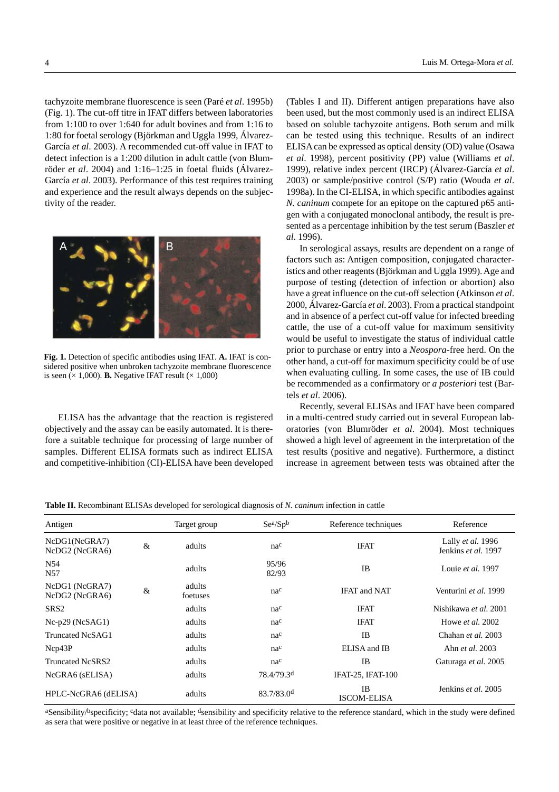(Fig. 1). The cut-off titre in IFAT differs between laboratories from 1:100 to over 1:640 for adult bovines and from 1:16 to 1:80 for foetal serology (Björkman and Uggla 1999, Álvarez-García *et al*. 2003). A recommended cut-off value in IFAT to detect infection is a 1:200 dilution in adult cattle (von Blumröder *et al*. 2004) and 1:16–1:25 in foetal fluids (Álvarez-García *et al*. 2003). Performance of this test requires training and experience and the result always depends on the subjectivity of the reader.



**Fig. 1.** Detection of specific antibodies using IFAT. **A.** IFAT is considered positive when unbroken tachyzoite membrane fluorescence is seen  $(\times 1,000)$ . **B.** Negative IFAT result  $(\times 1,000)$ 

ELISA has the advantage that the reaction is registered objectively and the assay can be easily automated. It is therefore a suitable technique for processing of large number of samples. Different ELISA formats such as indirect ELISA and competitive-inhibition (CI)-ELISA have been developed (Tables I and II). Different antigen preparations have also been used, but the most commonly used is an indirect ELISA based on soluble tachyzoite antigens. Both serum and milk can be tested using this technique. Results of an indirect ELISA can be expressed as optical density (OD) value (Osawa *et al*. 1998), percent positivity (PP) value (Williams *et al*. 1999), relative index percent (IRCP) (Álvarez-García et al. 2003) or sample/positive control (S/P) ratio (Wouda *et al*. 1998a). In the CI-ELISA, in which specific antibodies against *N. caninum* compete for an epitope on the captured p65 antigen with a conjugated monoclonal antibody, the result is presented as a percentage inhibition by the test serum (Baszler *et al*. 1996).

In serological assays, results are dependent on a range of factors such as: Antigen composition, conjugated characteristics and other reagents (Björkman and Uggla 1999). Age and purpose of testing (detection of infection or abortion) also have a great influence on the cut-off selection (Atkinson *et al*. 2000, Álvarez-García *et al*. 2003). From a practical standpoint and in absence of a perfect cut-off value for infected breeding cattle, the use of a cut-off value for maximum sensitivity would be useful to investigate the status of individual cattle prior to purchase or entry into a *Neospora*-free herd. On the other hand, a cut-off for maximum specificity could be of use when evaluating culling. In some cases, the use of IB could be recommended as a confirmatory or *a posteriori* test (Bartels *et al*. 2006).

Recently, several ELISAs and IFAT have been compared in a multi-centred study carried out in several European laboratories (von Blumröder *et al*. 2004). Most techniques showed a high level of agreement in the interpretation of the test results (positive and negative). Furthermore, a distinct increase in agreement between tests was obtained after the

**Table II.** Recombinant ELISAs developed for serological diagnosis of *N. caninum* infection in cattle

| Antigen                          |      | Target group       | $Se^a/Sp^b$            | Reference techniques     | Reference                                       |
|----------------------------------|------|--------------------|------------------------|--------------------------|-------------------------------------------------|
| NcDG1(NcGRA7)<br>NcDG2 (NcGRA6)  | &    | adults             | $na^c$                 | <b>IFAT</b>              | Lally <i>et al.</i> 1996<br>Jenkins et al. 1997 |
| N54<br>N <sub>57</sub>           |      | adults             | 95/96<br>82/93         | <b>IB</b>                | Louie et al. 1997                               |
| NcDG1 (NcGRA7)<br>NcDG2 (NcGRA6) | $\&$ | adults<br>foetuses | $na^c$                 | <b>IFAT and NAT</b>      | Venturini et al. 1999                           |
| SRS <sub>2</sub>                 |      | adults             | $na^c$                 | <b>IFAT</b>              | Nishikawa et al. 2001                           |
| $Nc-p29$ ( $NcSAG1$ )            |      | adults             | $na^c$                 | <b>IFAT</b>              | Howe <i>et al.</i> 2002                         |
| Truncated NcSAG1                 |      | adults             | $na^c$                 | <b>IB</b>                | Chahan et al. 2003                              |
| Ncp43P                           |      | adults             | $na^c$                 | ELISA and IB             | Ahn <i>et al.</i> 2003                          |
| <b>Truncated NcSRS2</b>          |      | adults             | $na^c$                 | <b>IB</b>                | Gaturaga et al. 2005                            |
| NcGRA6 (sELISA)                  |      | adults             | 78.4/79.3d             | <b>IFAT-25, IFAT-100</b> |                                                 |
| HPLC-NcGRA6 (dELISA)             |      | adults             | 83.7/83.0 <sup>d</sup> | IB<br><b>ISCOM-ELISA</b> | Jenkins et al. 2005                             |

aSensibility/bspecificity; cdata not available; dsensibility and specificity relative to the reference standard, which in the study were defined as sera that were positive or negative in at least three of the reference techniques.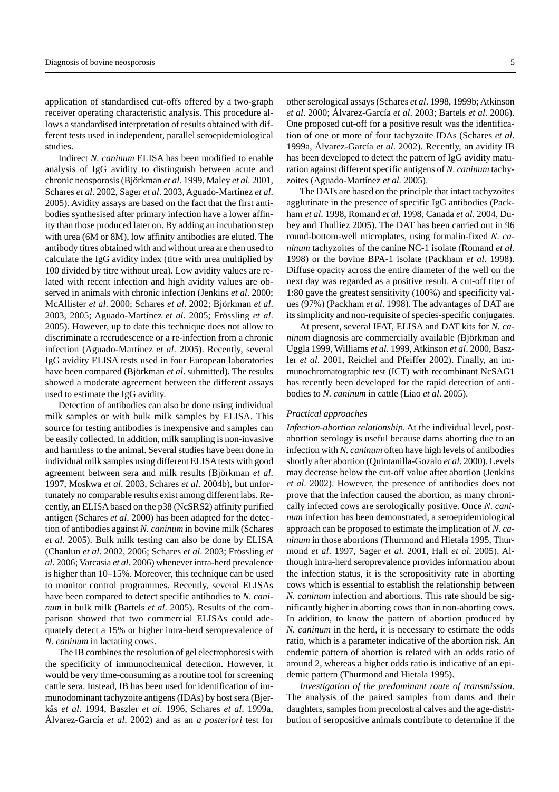application of standardised cut-offs offered by a two-graph receiver operating characteristic analysis. This procedure allows a standardised interpretation of results obtained with different tests used in independent, parallel seroepidemiological studies.

Indirect *N. caninum* ELISA has been modified to enable analysis of IgG avidity to distinguish between acute and chronic neosporosis (Björkman *et al*. 1999, Maley *et al*. 2001, Schares *et al*. 2002, Sager *et al*. 2003, Aguado-Martínez *et al*. 2005). Avidity assays are based on the fact that the first antibodies synthesised after primary infection have a lower affinity than those produced later on. By adding an incubation step with urea (6M or 8M), low affinity antibodies are eluted. The antibody titres obtained with and without urea are then used to calculate the IgG avidity index (titre with urea multiplied by 100 divided by titre without urea). Low avidity values are related with recent infection and high avidity values are observed in animals with chronic infection (Jenkins *et al*. 2000; McAllister *et al*. 2000; Schares *et al*. 2002; Björkman *et al*. 2003, 2005; Aguado-Martínez *et al*. 2005; Frössling *et al*. 2005). However, up to date this technique does not allow to discriminate a recrudescence or a re-infection from a chronic infection (Aguado-Martínez *et al*. 2005). Recently, several IgG avidity ELISA tests used in four European laboratories have been compared (Björkman *et al*. submitted). The results showed a moderate agreement between the different assays used to estimate the IgG avidity.

Detection of antibodies can also be done using individual milk samples or with bulk milk samples by ELISA. This source for testing antibodies is inexpensive and samples can be easily collected. In addition, milk sampling is non-invasive and harmless to the animal. Several studies have been done in individual milk samples using different ELISA tests with good agreement between sera and milk results (Björkman *et al*. 1997, Moskwa *et al*. 2003, Schares *et al*. 2004b), but unfortunately no comparable results exist among different labs. Recently, an ELISA based on the p38 (NcSRS2) affinity purified antigen (Schares *et al*. 2000) has been adapted for the detection of antibodies against *N. caninum* in bovine milk (Schares *et al*. 2005). Bulk milk testing can also be done by ELISA (Chanlun *et al*. 2002, 2006; Schares *et al*. 2003; Frössling *et al*. 2006; Varcasia *et al*. 2006) whenever intra-herd prevalence is higher than 10–15%. Moreover, this technique can be used to monitor control programmes. Recently, several ELISAs have been compared to detect specific antibodies to *N. caninum* in bulk milk (Bartels *et al*. 2005). Results of the comparison showed that two commercial ELISAs could adequately detect a 15% or higher intra-herd seroprevalence of *N. caninum* in lactating cows.

The IB combines the resolution of gel electrophoresis with the specificity of immunochemical detection. However, it would be very time-consuming as a routine tool for screening cattle sera. Instead, IB has been used for identification of immunodominant tachyzoite antigens (IDAs) by host sera (Bjerkås *et al.* 1994, Baszler *et al.* 1996, Schares *et al.* 1999a, Álvarez-García *et al*. 2002) and as an *a posteriori* test for

other serological assays (Schares *et al*. 1998, 1999b; Atkinson *et al*. 2000; Álvarez-García *et al*. 2003; Bartels *et al*. 2006). One proposed cut-off for a positive result was the identification of one or more of four tachyzoite IDAs (Schares *et al*. 1999a, Álvarez-García *et al*. 2002). Recently, an avidity IB has been developed to detect the pattern of IgG avidity maturation against different specific antigens of *N. caninum* tachyzoites (Aguado-Martínez *et al.* 2005).

The DATs are based on the principle that intact tachyzoites agglutinate in the presence of specific IgG antibodies (Packham *et al*. 1998, Romand *et al*. 1998, Canada *et al*. 2004, Dubey and Thulliez 2005). The DAT has been carried out in 96 round-bottom-well microplates, using formalin-fixed *N. caninum* tachyzoites of the canine NC-1 isolate (Romand *et al*. 1998) or the bovine BPA-1 isolate (Packham *et al*. 1998). Diffuse opacity across the entire diameter of the well on the next day was regarded as a positive result. A cut-off titer of 1:80 gave the greatest sensitivity (100%) and specificity values (97%) (Packham *et al*. 1998). The advantages of DAT are its simplicity and non-requisite of species-specific conjugates.

At present, several IFAT, ELISA and DAT kits for *N. caninum* diagnosis are commercially available (Björkman and Uggla 1999, Williams *et al*. 1999, Atkinson *et al*. 2000, Baszler *et al*. 2001, Reichel and Pfeiffer 2002). Finally, an immunochromatographic test (ICT) with recombinant NcSAG1 has recently been developed for the rapid detection of antibodies to *N. caninum* in cattle (Liao *et al*. 2005).

#### *Practical approaches*

*Infection-abortion relationship*. At the individual level, postabortion serology is useful because dams aborting due to an infection with *N. caninum* often have high levels of antibodies shortly after abortion (Quintanilla-Gozalo *et al*. 2000). Levels may decrease below the cut-off value after abortion (Jenkins *et al*. 2002). However, the presence of antibodies does not prove that the infection caused the abortion, as many chronically infected cows are serologically positive. Once *N. caninum* infection has been demonstrated, a seroepidemiological approach can be proposed to estimate the implication of *N. caninum* in those abortions (Thurmond and Hietala 1995, Thurmond *et al*. 1997, Sager *et al*. 2001, Hall *et al*. 2005). Although intra-herd seroprevalence provides information about the infection status, it is the seropositivity rate in aborting cows which is essential to establish the relationship between *N. caninum* infection and abortions. This rate should be significantly higher in aborting cows than in non-aborting cows. In addition, to know the pattern of abortion produced by *N. caninum* in the herd, it is necessary to estimate the odds ratio, which is a parameter indicative of the abortion risk. An endemic pattern of abortion is related with an odds ratio of around 2, whereas a higher odds ratio is indicative of an epidemic pattern (Thurmond and Hietala 1995).

*Investigation of the predominant route of transmission*. The analysis of the paired samples from dams and their daughters, samples from precolostral calves and the age-distribution of seropositive animals contribute to determine if the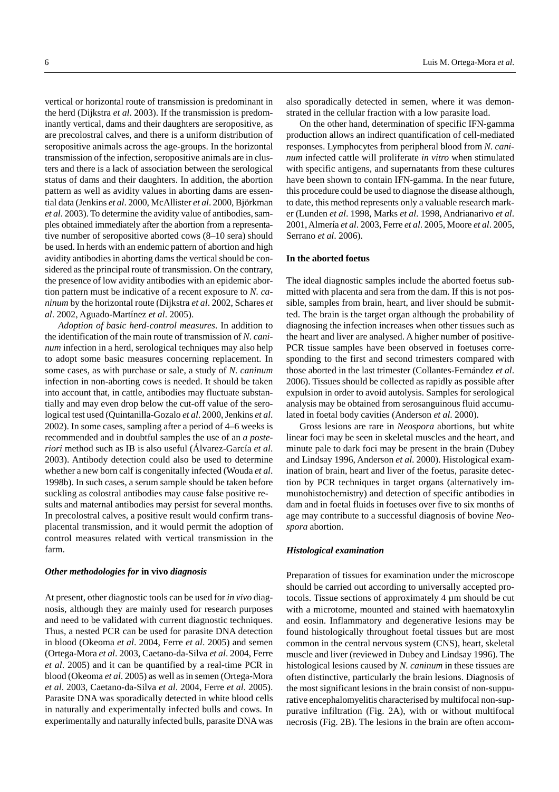vertical or horizontal route of transmission is predominant in the herd (Dijkstra *et al*. 2003). If the transmission is predominantly vertical, dams and their daughters are seropositive, as are precolostral calves, and there is a uniform distribution of seropositive animals across the age-groups. In the horizontal transmission of the infection, seropositive animals are in clusters and there is a lack of association between the serological status of dams and their daughters. In addition, the abortion pattern as well as avidity values in aborting dams are essential data (Jenkins *et al*. 2000, McAllister *et al*. 2000, Björkman *et al*. 2003). To determine the avidity value of antibodies, samples obtained immediately after the abortion from a representative number of seropositive aborted cows (8–10 sera) should be used. In herds with an endemic pattern of abortion and high avidity antibodies in aborting dams the vertical should be considered as the principal route of transmission. On the contrary, the presence of low avidity antibodies with an epidemic abortion pattern must be indicative of a recent exposure to *N. caninum* by the horizontal route (Dijkstra *et al*. 2002, Schares *et al*. 2002, Aguado-Martínez *et al*. 2005).

*Adoption of basic herd-control measures*. In addition to the identification of the main route of transmission of *N. caninum* infection in a herd, serological techniques may also help to adopt some basic measures concerning replacement. In some cases, as with purchase or sale, a study of *N. caninum* infection in non-aborting cows is needed. It should be taken into account that, in cattle, antibodies may fluctuate substantially and may even drop below the cut-off value of the serological test used (Quintanilla-Gozalo *et al*. 2000, Jenkins *et al*. 2002). In some cases, sampling after a period of 4–6 weeks is recommended and in doubtful samples the use of an *a posteriori* method such as IB is also useful (Álvarez-García *et al*. 2003). Antibody detection could also be used to determine whether a new born calf is congenitally infected (Wouda *et al*. 1998b). In such cases, a serum sample should be taken before suckling as colostral antibodies may cause false positive results and maternal antibodies may persist for several months. In precolostral calves, a positive result would confirm transplacental transmission, and it would permit the adoption of control measures related with vertical transmission in the farm.

#### *Other methodologies for* **in vivo** *diagnosis*

At present, other diagnostic tools can be used for *in vivo* diagnosis, although they are mainly used for research purposes and need to be validated with current diagnostic techniques. Thus, a nested PCR can be used for parasite DNA detection in blood (Okeoma *et al*. 2004, Ferre *et al*. 2005) and semen (Ortega-Mora *et al*. 2003, Caetano-da-Silva *et al*. 2004, Ferre *et al*. 2005) and it can be quantified by a real-time PCR in blood (Okeoma *et al*. 2005) as well as in semen (Ortega-Mora *et al*. 2003, Caetano-da-Silva *et al*. 2004, Ferre *et al*. 2005). Parasite DNA was sporadically detected in white blood cells in naturally and experimentally infected bulls and cows. In experimentally and naturally infected bulls, parasite DNA was

also sporadically detected in semen, where it was demonstrated in the cellular fraction with a low parasite load.

On the other hand, determination of specific IFN-gamma production allows an indirect quantification of cell-mediated responses. Lymphocytes from peripheral blood from *N. caninum* infected cattle will proliferate *in vitro* when stimulated with specific antigens, and supernatants from these cultures have been shown to contain IFN-gamma. In the near future, this procedure could be used to diagnose the disease although, to date, this method represents only a valuable research marker (Lunden *et al*. 1998, Marks *et al*. 1998, Andrianarivo *et al*. 2001, Almería *et al*. 2003, Ferre *et al*. 2005, Moore *et al*. 2005, Serrano *et al*. 2006).

#### **In the aborted foetus**

The ideal diagnostic samples include the aborted foetus submitted with placenta and sera from the dam. If this is not possible, samples from brain, heart, and liver should be submitted. The brain is the target organ although the probability of diagnosing the infection increases when other tissues such as the heart and liver are analysed. A higher number of positive-PCR tissue samples have been observed in foetuses corresponding to the first and second trimesters compared with those aborted in the last trimester (Collantes-Fernández et al. 2006). Tissues should be collected as rapidly as possible after expulsion in order to avoid autolysis. Samples for serological analysis may be obtained from serosanguinous fluid accumulated in foetal body cavities (Anderson *et al*. 2000).

Gross lesions are rare in *Neospora* abortions, but white linear foci may be seen in skeletal muscles and the heart, and minute pale to dark foci may be present in the brain (Dubey and Lindsay 1996, Anderson *et al*. 2000). Histological examination of brain, heart and liver of the foetus, parasite detection by PCR techniques in target organs (alternatively immunohistochemistry) and detection of specific antibodies in dam and in foetal fluids in foetuses over five to six months of age may contribute to a successful diagnosis of bovine *Neospora* abortion.

#### *Histological examination*

Preparation of tissues for examination under the microscope should be carried out according to universally accepted protocols. Tissue sections of approximately 4 µm should be cut with a microtome, mounted and stained with haematoxylin and eosin. Inflammatory and degenerative lesions may be found histologically throughout foetal tissues but are most common in the central nervous system (CNS), heart, skeletal muscle and liver (reviewed in Dubey and Lindsay 1996). The histological lesions caused by *N. caninum* in these tissues are often distinctive, particularly the brain lesions. Diagnosis of the most significant lesions in the brain consist of non-suppurative encephalomyelitis characterised by multifocal non-suppurative infiltration (Fig. 2A), with or without multifocal necrosis (Fig. 2B). The lesions in the brain are often accom-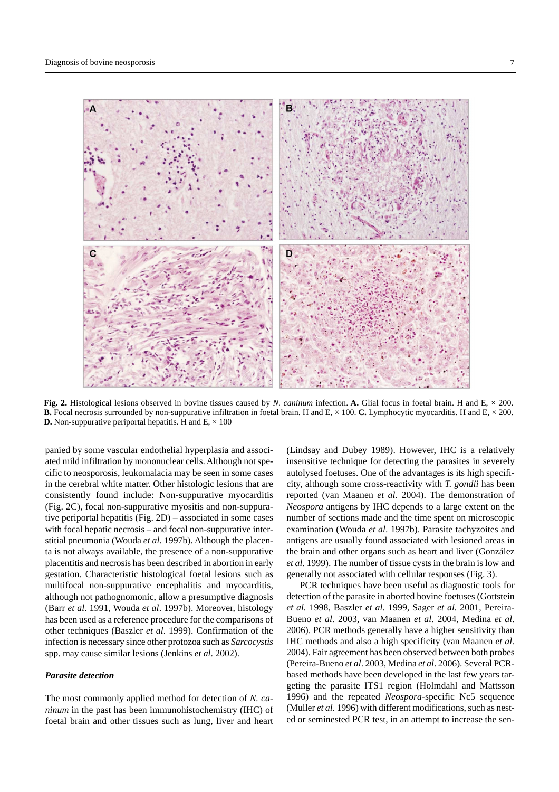

**Fig. 2.** Histological lesions observed in bovine tissues caused by *N. caninum* infection. **A.** Glial focus in foetal brain. H and E, × 200. **B.** Focal necrosis surrounded by non-suppurative infiltration in foetal brain. H and E,  $\times$  100. **C.** Lymphocytic myocarditis. H and E,  $\times$  200. **D.** Non-suppurative periportal hepatitis. H and  $E$ ,  $\times$  100

panied by some vascular endothelial hyperplasia and associated mild infiltration by mononuclear cells. Although not specific to neosporosis, leukomalacia may be seen in some cases in the cerebral white matter. Other histologic lesions that are consistently found include: Non-suppurative myocarditis (Fig. 2C), focal non-suppurative myositis and non-suppurative periportal hepatitis (Fig. 2D) – associated in some cases with focal hepatic necrosis – and focal non-suppurative interstitial pneumonia (Wouda *et al*. 1997b). Although the placenta is not always available, the presence of a non-suppurative placentitis and necrosis has been described in abortion in early gestation. Characteristic histological foetal lesions such as multifocal non-suppurative encephalitis and myocarditis, although not pathognomonic, allow a presumptive diagnosis (Barr *et al*. 1991, Wouda *et al*. 1997b). Moreover, histology has been used as a reference procedure for the comparisons of other techniques (Baszler *et al*. 1999). Confirmation of the infection is necessary since other protozoa such as *Sarcocystis* spp. may cause similar lesions (Jenkins *et al*. 2002).

## *Parasite detection*

The most commonly applied method for detection of *N. caninum* in the past has been immunohistochemistry (IHC) of foetal brain and other tissues such as lung, liver and heart

(Lindsay and Dubey 1989). However, IHC is a relatively insensitive technique for detecting the parasites in severely autolysed foetuses. One of the advantages is its high specificity, although some cross-reactivity with *T. gondii* has been reported (van Maanen *et al*. 2004). The demonstration of *Neospora* antigens by IHC depends to a large extent on the number of sections made and the time spent on microscopic examination (Wouda *et al*. 1997b). Parasite tachyzoites and antigens are usually found associated with lesioned areas in the brain and other organs such as heart and liver (González *et al*. 1999). The number of tissue cysts in the brain is low and generally not associated with cellular responses (Fig. 3).

PCR techniques have been useful as diagnostic tools for detection of the parasite in aborted bovine foetuses (Gottstein *et al.* 1998, Baszler *et al*. 1999, Sager *et al.* 2001, Pereira-Bueno *et al.* 2003, van Maanen *et al.* 2004, Medina *et al*. 2006). PCR methods generally have a higher sensitivity than IHC methods and also a high specificity (van Maanen *et al.* 2004). Fair agreement has been observed between both probes (Pereira-Bueno *et al*. 2003, Medina *et al*. 2006). Several PCRbased methods have been developed in the last few years targeting the parasite ITS1 region (Holmdahl and Mattsson 1996) and the repeated *Neospora*-specific Nc5 sequence (Muller *et al*. 1996) with different modifications, such as nested or seminested PCR test, in an attempt to increase the sen-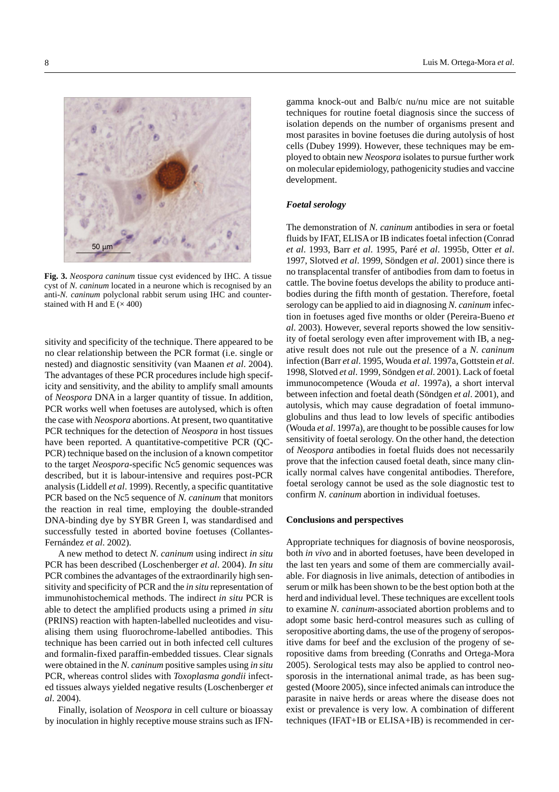

**Fig. 3.** *Neospora caninum* tissue cyst evidenced by IHC. A tissue cyst of *N. caninum* located in a neurone which is recognised by an anti-*N. caninum* polyclonal rabbit serum using IHC and counterstained with H and E  $(\times 400)$ 

sitivity and specificity of the technique. There appeared to be no clear relationship between the PCR format (i.e. single or nested) and diagnostic sensitivity (van Maanen *et al*. 2004). The advantages of these PCR procedures include high specificity and sensitivity, and the ability to amplify small amounts of *Neospora* DNA in a larger quantity of tissue. In addition, PCR works well when foetuses are autolysed, which is often the case with *Neospora* abortions. At present, two quantitative PCR techniques for the detection of *Neospora* in host tissues have been reported. A quantitative-competitive PCR (QC-PCR) technique based on the inclusion of a known competitor to the target *Neospora*-specific Nc5 genomic sequences was described, but it is labour-intensive and requires post-PCR analysis (Liddell *et al*. 1999). Recently, a specific quantitative PCR based on the Nc5 sequence of *N. caninum* that monitors the reaction in real time, employing the double-stranded DNA-binding dye by SYBR Green I, was standardised and successfully tested in aborted bovine foetuses (Collantes-Fernández *et al*. 2002).

A new method to detect *N. caninum* using indirect *in situ* PCR has been described (Loschenberger *et al*. 2004). *In situ* PCR combines the advantages of the extraordinarily high sensitivity and specificity of PCR and the *in situ* representation of immunohistochemical methods. The indirect *in situ* PCR is able to detect the amplified products using a primed *in situ* (PRINS) reaction with hapten-labelled nucleotides and visualising them using fluorochrome-labelled antibodies. This technique has been carried out in both infected cell cultures and formalin-fixed paraffin-embedded tissues. Clear signals were obtained in the *N. caninum* positive samples using *in situ* PCR, whereas control slides with *Toxoplasma gondii* infected tissues always yielded negative results (Loschenberger *et al*. 2004).

Finally, isolation of *Neospora* in cell culture or bioassay by inoculation in highly receptive mouse strains such as IFN- gamma knock-out and Balb/c nu/nu mice are not suitable techniques for routine foetal diagnosis since the success of isolation depends on the number of organisms present and most parasites in bovine foetuses die during autolysis of host cells (Dubey 1999). However, these techniques may be employed to obtain new *Neospora* isolates to pursue further work on molecular epidemiology, pathogenicity studies and vaccine development.

#### *Foetal serology*

The demonstration of *N. caninum* antibodies in sera or foetal fluids by IFAT, ELISA or IB indicates foetal infection (Conrad *et al*. 1993, Barr *et al*. 1995, Paré *et al*. 1995b, Otter *et al*. 1997, Slotved *et al*. 1999, Söndgen *et al*. 2001) since there is no transplacental transfer of antibodies from dam to foetus in cattle. The bovine foetus develops the ability to produce antibodies during the fifth month of gestation. Therefore, foetal serology can be applied to aid in diagnosing *N. caninum* infection in foetuses aged five months or older (Pereira-Bueno *et al*. 2003). However, several reports showed the low sensitivity of foetal serology even after improvement with IB, a negative result does not rule out the presence of a *N. caninum* infection (Barr *et al*. 1995, Wouda *et al*. 1997a, Gottstein *et al*. 1998, Slotved *et al*. 1999, Söndgen *et al*. 2001). Lack of foetal immunocompetence (Wouda *et al*. 1997a), a short interval between infection and foetal death (Söndgen *et al*. 2001), and autolysis, which may cause degradation of foetal immunoglobulins and thus lead to low levels of specific antibodies (Wouda *et al*. 1997a), are thought to be possible causes for low sensitivity of foetal serology. On the other hand, the detection of *Neospora* antibodies in foetal fluids does not necessarily prove that the infection caused foetal death, since many clinically normal calves have congenital antibodies. Therefore, foetal serology cannot be used as the sole diagnostic test to confirm *N. caninum* abortion in individual foetuses.

#### **Conclusions and perspectives**

Appropriate techniques for diagnosis of bovine neosporosis, both *in vivo* and in aborted foetuses, have been developed in the last ten years and some of them are commercially available. For diagnosis in live animals, detection of antibodies in serum or milk has been shown to be the best option both at the herd and individual level. These techniques are excellent tools to examine *N. caninum*-associated abortion problems and to adopt some basic herd-control measures such as culling of seropositive aborting dams, the use of the progeny of seropositive dams for beef and the exclusion of the progeny of seropositive dams from breeding (Conraths and Ortega-Mora 2005). Serological tests may also be applied to control neosporosis in the international animal trade, as has been suggested (Moore 2005), since infected animals can introduce the parasite in naive herds or areas where the disease does not exist or prevalence is very low. A combination of different techniques (IFAT+IB or ELISA+IB) is recommended in cer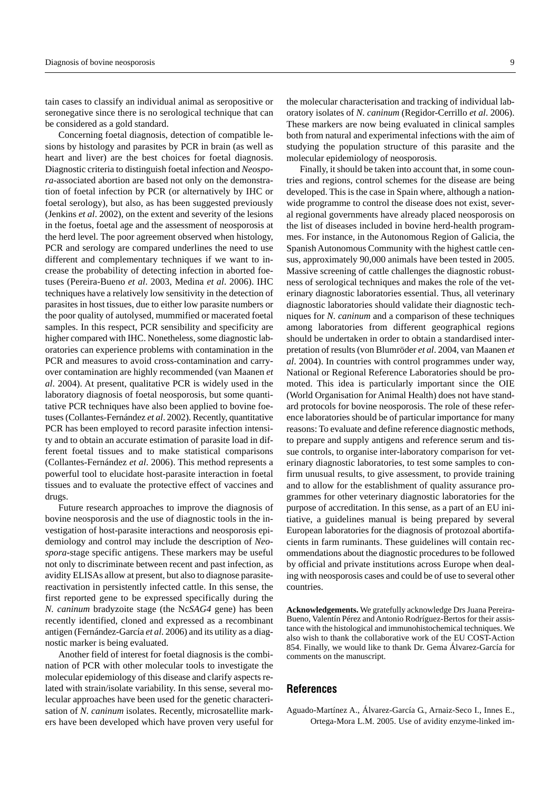tain cases to classify an individual animal as seropositive or seronegative since there is no serological technique that can be considered as a gold standard.

Concerning foetal diagnosis, detection of compatible lesions by histology and parasites by PCR in brain (as well as heart and liver) are the best choices for foetal diagnosis. Diagnostic criteria to distinguish foetal infection and *Neospora*-associated abortion are based not only on the demonstration of foetal infection by PCR (or alternatively by IHC or foetal serology), but also, as has been suggested previously (Jenkins *et al*. 2002), on the extent and severity of the lesions in the foetus, foetal age and the assessment of neosporosis at the herd level. The poor agreement observed when histology, PCR and serology are compared underlines the need to use different and complementary techniques if we want to increase the probability of detecting infection in aborted foetuses (Pereira-Bueno *et al*. 2003, Medina *et al*. 2006). IHC techniques have a relatively low sensitivity in the detection of parasites in host tissues, due to either low parasite numbers or the poor quality of autolysed, mummified or macerated foetal samples. In this respect, PCR sensibility and specificity are higher compared with IHC. Nonetheless, some diagnostic laboratories can experience problems with contamination in the PCR and measures to avoid cross-contamination and carryover contamination are highly recommended (van Maanen *et al*. 2004). At present, qualitative PCR is widely used in the laboratory diagnosis of foetal neosporosis, but some quantitative PCR techniques have also been applied to bovine foetuses (Collantes-Fernández *et al*. 2002). Recently, quantitative PCR has been employed to record parasite infection intensity and to obtain an accurate estimation of parasite load in different foetal tissues and to make statistical comparisons (Collantes-Fernández *et al*. 2006). This method represents a powerful tool to elucidate host-parasite interaction in foetal tissues and to evaluate the protective effect of vaccines and drugs.

Future research approaches to improve the diagnosis of bovine neosporosis and the use of diagnostic tools in the investigation of host-parasite interactions and neosporosis epidemiology and control may include the description of *Neospora*-stage specific antigens. These markers may be useful not only to discriminate between recent and past infection, as avidity ELISAs allow at present, but also to diagnose parasitereactivation in persistently infected cattle. In this sense, the first reported gene to be expressed specifically during the *N. caninum* bradyzoite stage (the Nc*SAG4* gene) has been recently identified, cloned and expressed as a recombinant antigen (Fernández-García *et al*. 2006) and its utility as a diagnostic marker is being evaluated.

Another field of interest for foetal diagnosis is the combination of PCR with other molecular tools to investigate the molecular epidemiology of this disease and clarify aspects related with strain/isolate variability. In this sense, several molecular approaches have been used for the genetic characterisation of *N. caninum* isolates. Recently, microsatellite markers have been developed which have proven very useful for

the molecular characterisation and tracking of individual laboratory isolates of *N. caninum* (Regidor-Cerrillo *et al*. 2006). These markers are now being evaluated in clinical samples both from natural and experimental infections with the aim of studying the population structure of this parasite and the molecular epidemiology of neosporosis.

Finally, it should be taken into account that, in some countries and regions, control schemes for the disease are being developed. This is the case in Spain where, although a nationwide programme to control the disease does not exist, several regional governments have already placed neosporosis on the list of diseases included in bovine herd-health programmes. For instance, in the Autonomous Region of Galicia, the Spanish Autonomous Community with the highest cattle census, approximately 90,000 animals have been tested in 2005. Massive screening of cattle challenges the diagnostic robustness of serological techniques and makes the role of the veterinary diagnostic laboratories essential. Thus, all veterinary diagnostic laboratories should validate their diagnostic techniques for *N. caninum* and a comparison of these techniques among laboratories from different geographical regions should be undertaken in order to obtain a standardised interpretation of results (von Blumröder *et al*. 2004, van Maanen *et al*. 2004). In countries with control programmes under way, National or Regional Reference Laboratories should be promoted. This idea is particularly important since the OIE (World Organisation for Animal Health) does not have standard protocols for bovine neosporosis. The role of these reference laboratories should be of particular importance for many reasons: To evaluate and define reference diagnostic methods, to prepare and supply antigens and reference serum and tissue controls, to organise inter-laboratory comparison for veterinary diagnostic laboratories, to test some samples to confirm unusual results, to give assessment, to provide training and to allow for the establishment of quality assurance programmes for other veterinary diagnostic laboratories for the purpose of accreditation. In this sense, as a part of an EU initiative, a guidelines manual is being prepared by several European laboratories for the diagnosis of protozoal abortifacients in farm ruminants. These guidelines will contain recommendations about the diagnostic procedures to be followed by official and private institutions across Europe when dealing with neosporosis cases and could be of use to several other countries.

**Acknowledgements.** We gratefully acknowledge Drs Juana Pereira-Bueno, Valentín Pérez and Antonio Rodríguez-Bertos for their assistance with the histological and immunohistochemical techniques. We also wish to thank the collaborative work of the EU COST-Action 854. Finally, we would like to thank Dr. Gema Álvarez-García for comments on the manuscript.

## **References**

Aguado-Martínez A., Álvarez-García G., Arnaiz-Seco I., Innes E., Ortega-Mora L.M. 2005. Use of avidity enzyme-linked im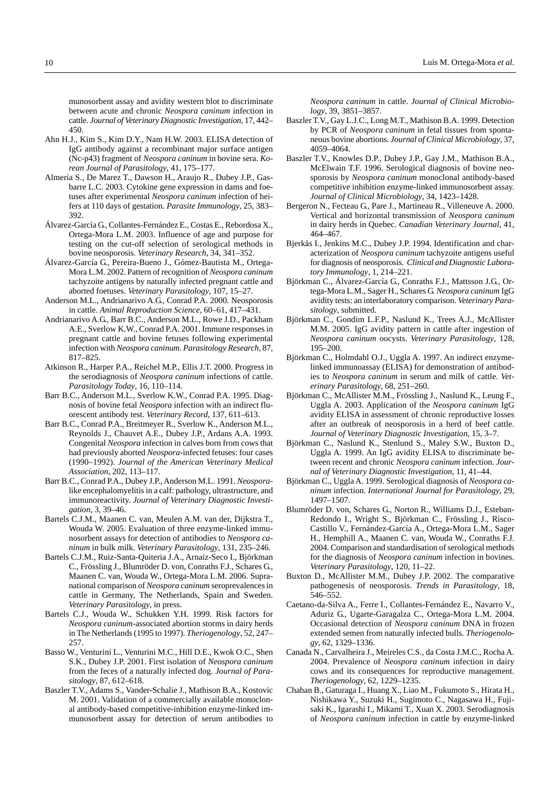munosorbent assay and avidity western blot to discriminate between acute and chronic *Neospora caninum* infection in cattle. *Journal of Veterinary Diagnostic Investigation*, 17, 442– 450.

- Ahn H.J., Kim S., Kim D.Y., Nam H.W. 2003. ELISA detection of IgG antibody against a recombinant major surface antigen (Nc-p43) fragment of *Neospora caninum* in bovine sera. *Korean Journal of Parasitology*, 41, 175–177.
- Almería S., De Marez T., Dawson H., Araujo R., Dubey J.P., Gasbarre L.C. 2003. Cytokine gene expression in dams and foetuses after experimental *Neospora caninum* infection of heifers at 110 days of gestation. *Parasite Immunology*, 25, 383– 392.
- Álvarez-García G., Collantes-Fernández E., Costas E., Rebordosa X., Ortega-Mora L.M. 2003. Influence of age and purpose for testing on the cut-off selection of serological methods in bovine neosporosis. *Veterinary Research*, 34, 341–352.
- Álvarez-García G., Pereira-Bueno J., Gómez-Bautista M., Ortega-Mora L.M. 2002. Pattern of recognition of *Neospora caninum* tachyzoite antigens by naturally infected pregnant cattle and aborted foetuses. *Veterinary Parasitology*, 107, 15–27.
- Anderson M.L., Andrianarivo A.G., Conrad P.A. 2000. Neosporosis in cattle. *Animal Reproduction Science*, 60–61, 417–431.
- Andrianarivo A.G., Barr B.C., Anderson M.L., Rowe J.D., Packham A.E., Sverlow K.W., Conrad P.A. 2001. Immune responses in pregnant cattle and bovine fetuses following experimental infection with *Neospora caninum*. *Parasitology Research*, 87, 817–825.
- Atkinson R., Harper P.A., Reichel M.P., Ellis J.T. 2000. Progress in the serodiagnosis of *Neospora caninum* infections of cattle. *Parasitology Today*, 16, 110–114.
- Barr B.C., Anderson M.L., Sverlow K.W., Conrad P.A. 1995. Diagnosis of bovine fetal *Neospora* infection with an indirect fluorescent antibody test. *Veterinary Record*, 137, 611–613.
- Barr B.C., Conrad P.A., Breitmeyer R., Sverlow K., Anderson M.L., Reynolds J., Chauvet A.E., Dubey J.P., Ardans A.A. 1993. Congenital *Neospora* infection in calves born from cows that had previously aborted *Neospora*-infected fetuses: four cases (1990–1992). *Journal of the American Veterinary Medical Association*, 202, 113–117.
- Barr B.C., Conrad P.A., Dubey J.P., Anderson M.L. 1991. *Neospora*like encephalomyelitis in a calf: pathology, ultrastructure, and immunoreactivity. *Journal of Veterinary Diagnostic Investigation*, 3, 39–46.
- Bartels C.J.M., Maanen C. van, Meulen A.M. van der, Dijkstra T., Wouda W. 2005. Evaluation of three enzyme-linked immunosorbent assays for detection of antibodies to *Neospora caninum* in bulk milk. *Veterinary Parasitology*, 131, 235–246.
- Bartels C.J.M., Ruiz-Santa-Quiteria J.A., Arnaiz-Seco I., Björkman C., Frössling J., Blumröder D. von, Conraths F.J., Schares G., Maanen C. van, Wouda W., Ortega-Mora L.M. 2006. Supranational comparison of *Neospora caninum* seroprevalences in cattle in Germany, The Netherlands, Spain and Sweden. *Veterinary Parasitology*, in press.
- Bartels C.J., Wouda W., Schukken Y.H. 1999. Risk factors for *Neospora caninum*-associated abortion storms in dairy herds in The Netherlands (1995 to 1997). *Theriogenology*, 52, 247– 257.
- Basso W., Venturini L., Venturini M.C., Hill D.E., Kwok O.C., Shen S.K., Dubey J.P. 2001. First isolation of *Neospora caninum* from the feces of a naturally infected dog. *Journal of Parasitology*, 87, 612–618.
- Baszler T.V., Adams S., Vander-Schalie J., Mathison B.A., Kostovic M. 2001. Validation of a commercially available monoclonal antibody-based competitive-inhibition enzyme-linked immunosorbent assay for detection of serum antibodies to

*Neospora caninum* in cattle. *Journal of Clinical Microbiology*, 39, 3851–3857.

- Baszler T.V., Gay L.J.C., Long M.T., Mathison B.A. 1999. Detection by PCR of *Neospora caninum* in fetal tissues from spontaneous bovine abortions. *Journal of Clinical Microbiology*, 37, 4059–4064.
- Baszler T.V., Knowles D.P., Dubey J.P., Gay J.M., Mathison B.A., McElwain T.F. 1996. Serological diagnosis of bovine neosporosis by *Neospora caninum* monoclonal antibody-based competitive inhibition enzyme-linked immunosorbent assay. *Journal of Clinical Microbiology*, 34, 1423–1428.
- Bergeron N., Fecteau G., Pare J., Martineau R., Villeneuve A. 2000. Vertical and horizontal transmission of *Neospora caninum* in dairy herds in Quebec. *Canadian Veterinary Journal*, 41, 464–467.
- Bjerkås I., Jenkins M.C., Dubey J.P. 1994. Identification and characterization of *Neospora caninum* tachyzoite antigens useful for diagnosis of neosporosis. *Clinical and Diagnostic Laboratory Immunology*, 1, 214–221.
- Björkman C., Álvarez-García G., Conraths F.J., Mattsson J.G., Ortega-Mora L.M., Sager H., Schares G. *Neospora caninum* IgG avidity tests: an interlaboratory comparison. *Veterinary Parasitology*, submitted.
- Björkman C., Gondim L.F.P., Naslund K., Trees A.J., McAllister M.M. 2005. IgG avidity pattern in cattle after ingestion of *Neospora caninum* oocysts. *Veterinary Parasitology*, 128, 195–200.
- Björkman C., Holmdahl O.J., Uggla A. 1997. An indirect enzymelinked immunoassay (ELISA) for demonstration of antibodies to *Neospora caninum* in serum and milk of cattle. *Veterinary Parasitology*, 68, 251–260.
- Björkman C., McAllister M.M., Frössling J., Naslund K., Leung F., Uggla A. 2003. Application of the *Neospora caninum* IgG avidity ELISA in assessment of chronic reproductive losses after an outbreak of neosporosis in a herd of beef cattle. *Journal of Veterinary Diagnostic Investigation*, 15, 3–7.
- Björkman C., Naslund K., Stenlund S., Maley S.W., Buxton D., Uggla A. 1999. An IgG avidity ELISA to discriminate between recent and chronic *Neospora caninum* infection. *Journal of Veterinary Diagnostic Investigation*, 11, 41–44.
- Björkman C., Uggla A. 1999. Serological diagnosis of *Neospora caninum* infection. *International Journal for Parasitology*, 29, 1497–1507.
- Blumröder D. von, Schares G., Norton R., Williams D.J., Esteban-Redondo I., Wright S., Björkman C., Frössling J., Risco-Castillo V., Fernández-García A., Ortega-Mora L.M., Sager H., Hemphill A., Maanen C. van, Wouda W., Conraths F.J. 2004. Comparison and standardisation of serological methods for the diagnosis of *Neospora caninum* infection in bovines. *Veterinary Parasitology*, 120, 11–22.
- Buxton D., McAllister M.M., Dubey J.P. 2002. The comparative pathogenesis of neosporosis. *Trends in Parasitology*, 18, 546–552.
- Caetano-da-Silva A., Ferre I., Collantes-Fernández E., Navarro V., Aduriz G., Ugarte-Garagalza C., Ortega-Mora L.M. 2004. Occasional detection of *Neospora caninum* DNA in frozen extended semen from naturally infected bulls. *Theriogenology*, 62, 1329–1336.
- Canada N., Carvalheira J., Meireles C.S., da Costa J.M.C., Rocha A. 2004. Prevalence of *Neospora caninum* infection in dairy cows and its consequences for reproductive management. *Theriogenology*, 62, 1229–1235.
- Chahan B., Gaturaga I., Huang X., Liao M., Fukumoto S., Hirata H., Nishikawa Y., Suzuki H., Sugimoto C., Nagasawa H., Fujisaki K., Igarashi I., Mikami T., Xuan X. 2003. Serodiagnosis of *Neospora caninum* infection in cattle by enzyme-linked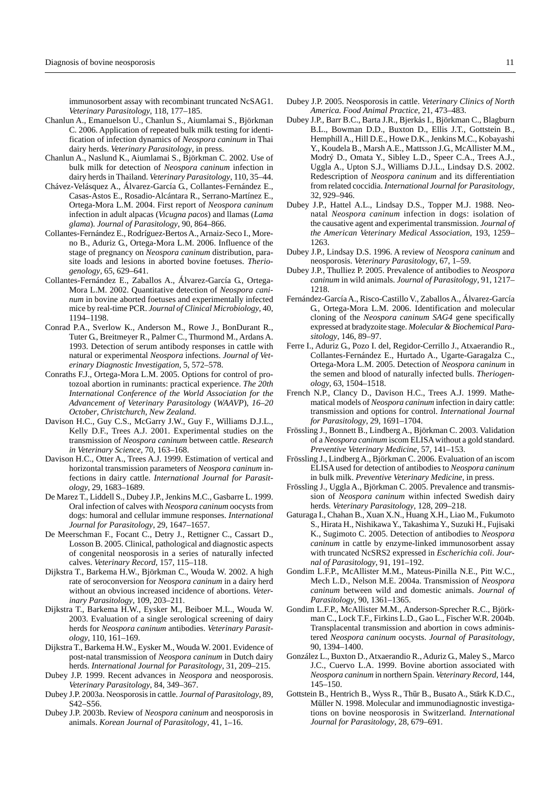immunosorbent assay with recombinant truncated NcSAG1. *Veterinary Parasitology*, 118, 177–185.

- Chanlun A., Emanuelson U., Chanlun S., Aiumlamai S., Björkman C. 2006. Application of repeated bulk milk testing for identification of infection dynamics of *Neospora caninum* in Thai dairy herds. *Veterinary Parasitology*, in press.
- Chanlun A., Naslund K., Aiumlamai S., Björkman C. 2002. Use of bulk milk for detection of *Neospora caninum* infection in dairy herds in Thailand. *Veterinary Parasitology*, 110, 35–44.
- Chávez-Velásquez A., Álvarez-García G., Collantes-Fernández E., Casas-Astos E., Rosadio-Alcántara R., Serrano-Martínez E., Ortega-Mora L.M. 2004. First report of *Neospora caninum* infection in adult alpacas (*Vicugna pacos*) and llamas (*Lama glama*). *Journal of Parasitology*, 90, 864–866.
- Collantes-Fernández E., Rodríguez-Bertos A., Arnaiz-Seco I., Moreno B., Aduriz G., Ortega-Mora L.M. 2006. Influence of the stage of pregnancy on *Neospora caninum* distribution, parasite loads and lesions in aborted bovine foetuses. *Theriogenology*, 65, 629–641.
- Collantes-Fernández E., Zaballos A., Álvarez-García G., Ortega-Mora L.M. 2002. Quantitative detection of *Neospora caninum* in bovine aborted foetuses and experimentally infected mice by real-time PCR. *Journal of Clinical Microbiology*, 40, 1194–1198.
- Conrad P.A., Sverlow K., Anderson M., Rowe J., BonDurant R., Tuter G., Breitmeyer R., Palmer C., Thurmond M., Ardans A. 1993. Detection of serum antibody responses in cattle with natural or experimental *Neospora* infections. *Journal of Veterinary Diagnostic Investigation*, 5, 572–578.
- Conraths F.J., Ortega-Mora L.M. 2005. Options for control of protozoal abortion in ruminants: practical experience. *The 20th International Conference of the World Association for the Advancement of Veterinary Parasitology* (*WAAVP*), *16–20 October*, *Christchurch*, *New Zealand*.
- Davison H.C., Guy C.S., McGarry J.W., Guy F., Williams D.J.L., Kelly D.F., Trees A.J. 2001. Experimental studies on the transmission of *Neospora caninum* between cattle. *Research in Veterinary Science*, 70, 163–168.
- Davison H.C., Otter A., Trees A.J. 1999. Estimation of vertical and horizontal transmission parameters of *Neospora caninum* infections in dairy cattle. *International Journal for Parasitology*, 29, 1683–1689.
- De Marez T., Liddell S., Dubey J.P., Jenkins M.C., Gasbarre L. 1999. Oral infection of calves with *Neospora caninum* oocysts from dogs: humoral and cellular immune responses. *International Journal for Parasitology*, 29, 1647–1657.
- De Meerschman F., Focant C., Detry J., Rettigner C., Cassart D., Losson B. 2005. Clinical, pathological and diagnostic aspects of congenital neosporosis in a series of naturally infected calves. *Veterinary Record*, 157, 115–118.
- Dijkstra T., Barkema H.W., Björkman C., Wouda W. 2002. A high rate of seroconversion for *Neospora caninum* in a dairy herd without an obvious increased incidence of abortions. *Veterinary Parasitology*, 109, 203–211.
- Dijkstra T., Barkema H.W., Eysker M., Beiboer M.L., Wouda W. 2003. Evaluation of a single serological screening of dairy herds for *Neospora caninum* antibodies. *Veterinary Parasitology*, 110, 161–169.
- Dijkstra T., Barkema H.W., Eysker M., Wouda W. 2001. Evidence of post-natal transmission of *Neospora caninum* in Dutch dairy herds. *International Journal for Parasitology*, 31, 209–215.
- Dubey J.P. 1999. Recent advances in *Neospora* and neosporosis. *Veterinary Parasitology*, 84, 349–367.
- Dubey J.P. 2003a. Neosporosis in cattle. *Journal of Parasitology*, 89, S42–S56.
- Dubey J.P. 2003b. Review of *Neospora caninum* and neosporosis in animals. *Korean Journal of Parasitology*, 41, 1–16.
- Dubey J.P. 2005. Neosporosis in cattle. *Veterinary Clinics of North America. Food Animal Practice*, 21, 473–483.
- Dubey J.P., Barr B.C., Barta J.R., Bjerkås I., Björkman C., Blagburn B.L., Bowman D.D., Buxton D., Ellis J.T., Gottstein B., Hemphill A., Hill D.E., Howe D.K., Jenkins M.C., Kobayashi Y., Koudela B., Marsh A.E., Mattsson J.G., McAllister M.M., Modrý D., Omata Y., Sibley L.D., Speer C.A., Trees A.J., Uggla A., Upton S.J., Williams D.J.L., Lindsay D.S. 2002. Redescription of *Neospora caninum* and its differentiation from related coccidia. *International Journal for Parasitology*, 32, 929–946.
- Dubey J.P., Hattel A.L., Lindsay D.S., Topper M.J. 1988. Neonatal *Neospora caninum* infection in dogs: isolation of the causative agent and experimental transmission. *Journal of the American Veterinary Medical Association*, 193, 1259– 1263.
- Dubey J.P., Lindsay D.S. 1996. A review of *Neospora caninum* and neosporosis. *Veterinary Parasitology*, 67, 1–59.
- Dubey J.P., Thulliez P. 2005. Prevalence of antibodies to *Neospora caninum* in wild animals. *Journal of Parasitology*, 91, 1217– 1218.
- Fernández-García A., Risco-Castillo V., Zaballos A., Álvarez-García G., Ortega-Mora L.M. 2006. Identification and molecular cloning of the *Neospora caninum SAG4* gene specifically expressed at bradyzoite stage. *Molecular & Biochemical Parasitology*, 146, 89–97.
- Ferre I., Aduriz G., Pozo I. del, Regidor-Cerrillo J., Atxaerandio R., Collantes-Fernández E., Hurtado A., Ugarte-Garagalza C., Ortega-Mora L.M. 2005. Detection of *Neospora caninum* in the semen and blood of naturally infected bulls. *Theriogenology*, 63, 1504–1518.
- French N.P., Clancy D., Davison H.C., Trees A.J. 1999. Mathematical models of *Neospora caninum* infection in dairy cattle: transmission and options for control. *International Journal for Parasitology*, 29, 1691–1704.
- Frössling J., Bonnett B., Lindberg A., Björkman C. 2003. Validation of a *Neospora caninum* iscom ELISA without a gold standard. *Preventive Veterinary Medicine*, 57, 141–153.
- Frössling J., Lindberg A., Björkman C. 2006. Evaluation of an iscom ELISA used for detection of antibodies to *Neospora caninum* in bulk milk. *Preventive Veterinary Medicine*, in press.
- Frössling J., Uggla A., Björkman C. 2005. Prevalence and transmission of *Neospora caninum* within infected Swedish dairy herds. *Veterinary Parasitology*, 128, 209–218.
- Gaturaga I., Chahan B., Xuan X.N., Huang X.H., Liao M., Fukumoto S., Hirata H., Nishikawa Y., Takashima Y., Suzuki H., Fujisaki K., Sugimoto C. 2005. Detection of antibodies to *Neospora caninum* in cattle by enzyme-linked immunosorbent assay with truncated NcSRS2 expressed in *Escherichia coli*. *Journal of Parasitology*, 91, 191–192.
- Gondim L.F.P., McAllister M.M., Mateus-Pinilla N.E., Pitt W.C., Mech L.D., Nelson M.E. 2004a. Transmission of *Neospora caninum* between wild and domestic animals. *Journal of Parasitology*, 90, 1361–1365.
- Gondim L.F.P., McAllister M.M., Anderson-Sprecher R.C., Björkman C., Lock T.F., Firkins L.D., Gao L., Fischer W.R. 2004b. Transplacental transmission and abortion in cows administered *Neospora caninum* oocysts. *Journal of Parasitology*, 90, 1394–1400.
- González L., Buxton D., Atxaerandio R., Aduriz G., Maley S., Marco J.C., Cuervo L.A. 1999. Bovine abortion associated with *Neospora caninum* in northern Spain. *Veterinary Record*, 144, 145–150.
- Gottstein B., Hentrich B., Wyss R., Thür B., Busato A., Stärk K.D.C., Müller N. 1998. Molecular and immunodiagnostic investigations on bovine neosporosis in Switzerland. *International Journal for Parasitology*, 28, 679–691.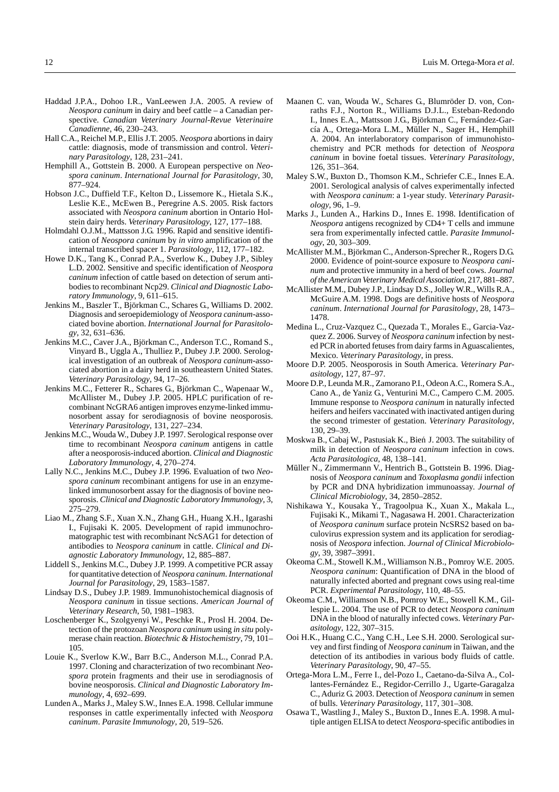- Haddad J.P.A., Dohoo I.R., VanLeewen J.A. 2005. A review of *Neospora caninum* in dairy and beef cattle – a Canadian perspective. *Canadian Veterinary Journal-Revue Veterinaire Canadienne*, 46, 230–243.
- Hall C.A., Reichel M.P., Ellis J.T. 2005. *Neospora* abortions in dairy cattle: diagnosis, mode of transmission and control. *Veterinary Parasitology*, 128, 231–241.
- Hemphill A., Gottstein B. 2000. A European perspective on *Neospora caninum*. *International Journal for Parasitology*, 30, 877–924.
- Hobson J.C., Duffield T.F., Kelton D., Lissemore K., Hietala S.K., Leslie K.E., McEwen B., Peregrine A.S. 2005. Risk factors associated with *Neospora caninum* abortion in Ontario Holstein dairy herds. *Veterinary Parasitology*, 127, 177–188.
- Holmdahl O.J.M., Mattsson J.G. 1996. Rapid and sensitive identification of *Neospora caninum* by *in vitro* amplification of the internal transcribed spacer 1. *Parasitology*, 112, 177–182.
- Howe D.K., Tang K., Conrad P.A., Sverlow K., Dubey J.P., Sibley L.D. 2002. Sensitive and specific identification of *Neospora caninum* infection of cattle based on detection of serum antibodies to recombinant Ncp29. *Clinical and Diagnostic Laboratory Immunology*, 9, 611–615.
- Jenkins M., Baszler T., Björkman C., Schares G., Williams D. 2002. Diagnosis and seroepidemiology of *Neospora caninum*-associated bovine abortion. *International Journal for Parasitology*, 32, 631–636.
- Jenkins M.C., Caver J.A., Björkman C., Anderson T.C., Romand S., Vinyard B., Uggla A., Thulliez P., Dubey J.P. 2000. Serological investigation of an outbreak of *Neospora caninum*-associated abortion in a dairy herd in southeastern United States. *Veterinary Parasitology*, 94, 17–26.
- Jenkins M.C., Fetterer R., Schares G., Björkman C., Wapenaar W., McAllister M., Dubey J.P. 2005. HPLC purification of recombinant NcGRA6 antigen improves enzyme-linked immunosorbent assay for serodiagnosis of bovine neosporosis. *Veterinary Parasitology*, 131, 227–234.
- Jenkins M.C., Wouda W., Dubey J.P. 1997. Serological response over time to recombinant *Neospora caninum* antigens in cattle after a neosporosis-induced abortion. *Clinical and Diagnostic Laboratory Immunology*, 4, 270–274.
- Lally N.C., Jenkins M.C., Dubey J.P. 1996. Evaluation of two *Neospora caninum* recombinant antigens for use in an enzymelinked immunosorbent assay for the diagnosis of bovine neosporosis. *Clinical and Diagnostic Laboratory Immunology*, 3, 275–279.
- Liao M., Zhang S.F., Xuan X.N., Zhang G.H., Huang X.H., Igarashi I., Fujisaki K. 2005. Development of rapid immunochromatographic test with recombinant NcSAG1 for detection of antibodies to *Neospora caninum* in cattle. *Clinical and Diagnostic Laboratory Immunology*, 12, 885–887.
- Liddell S., Jenkins M.C., Dubey J.P. 1999. A competitive PCR assay for quantitative detection of *Neospora caninum*. *International Journal for Parasitology*, 29, 1583–1587.
- Lindsay D.S., Dubey J.P. 1989. Immunohistochemical diagnosis of *Neospora caninum* in tissue sections. *American Journal of Veterinary Research*, 50, 1981–1983.
- Loschenberger K., Szolgyenyi W., Peschke R., Prosl H. 2004. Detection of the protozoan *Neospora caninum* using *in situ* polymerase chain reaction. *Biotechnic & Histochemistry*, 79, 101– 105.
- Louie K., Sverlow K.W., Barr B.C., Anderson M.L., Conrad P.A. 1997. Cloning and characterization of two recombinant *Neospora* protein fragments and their use in serodiagnosis of bovine neosporosis. *Clinical and Diagnostic Laboratory Immunology*, 4, 692–699.
- Lunden A., Marks J., Maley S.W., Innes E.A. 1998. Cellular immune responses in cattle experimentally infected with *Neospora caninum*. *Parasite Immunology*, 20, 519–526.
- Maanen C. van, Wouda W., Schares G., Blumröder D. von, Conraths F.J., Norton R., Williams D.J.L., Esteban-Redondo I., Innes E.A., Mattsson J.G., Björkman C., Fernández-García A., Ortega-Mora L.M., Müller N., Sager H., Hemphill A. 2004. An interlaboratory comparison of immunohistochemistry and PCR methods for detection of *Neospora caninum* in bovine foetal tissues. *Veterinary Parasitology*, 126, 351–364.
- Maley S.W., Buxton D., Thomson K.M., Schriefer C.E., Innes E.A. 2001. Serological analysis of calves experimentally infected with *Neospora caninum*: a 1-year study. *Veterinary Parasitology*, 96, 1–9.
- Marks J., Lunden A., Harkins D., Innes E. 1998. Identification of *Neospora* antigens recognized by CD4+ T cells and immune sera from experimentally infected cattle. *Parasite Immunology*, 20, 303–309.
- McAllister M.M., Björkman C., Anderson-Sprecher R., Rogers D.G. 2000. Evidence of point-source exposure to *Neospora caninum* and protective immunity in a herd of beef cows. *Journal of the American Veterinary Medical Association*, 217, 881–887.
- McAllister M.M., Dubey J.P., Lindsay D.S., Jolley W.R., Wills R.A., McGuire A.M. 1998. Dogs are definitive hosts of *Neospora caninum*. *International Journal for Parasitology*, 28, 1473– 1478.
- Medina L., Cruz-Vazquez C., Quezada T., Morales E., Garcia-Vazquez Z. 2006. Survey of *Neospora caninum* infection by nested PCR in aborted fetuses from dairy farms in Aguascalientes, Mexico. *Veterinary Parasitology*, in press.
- Moore D.P. 2005. Neosporosis in South America. *Veterinary Parasitology*, 127, 87–97.
- Moore D.P., Leunda M.R., Zamorano P.I., Odeon A.C., Romera S.A., Cano A., de Yaniz G., Venturini M.C., Campero C.M. 2005. Immune response to *Neospora caninum* in naturally infected heifers and heifers vaccinated with inactivated antigen during the second trimester of gestation. *Veterinary Parasitology*, 130, 29–39.
- Moskwa B., Cabaj W., Pastusiak K., Bień J. 2003. The suitability of milk in detection of *Neospora caninum* infection in cows. *Acta Parasitologica*, 48, 138–141.
- Müller N., Zimmermann V., Hentrich B., Gottstein B. 1996. Diagnosis of *Neospora caninum* and *Toxoplasma gondii* infection by PCR and DNA hybridization immunoassay. *Journal of Clinical Microbiology*, 34, 2850–2852.
- Nishikawa Y., Kousaka Y., Tragoolpua K., Xuan X., Makala L., Fujisaki K., Mikami T., Nagasawa H. 2001. Characterization of *Neospora caninum* surface protein NcSRS2 based on baculovirus expression system and its application for serodiagnosis of *Neospora* infection. *Journal of Clinical Microbiology*, 39, 3987–3991.
- Okeoma C.M., Stowell K.M., Williamson N.B., Pomroy W.E. 2005. *Neospora caninum*: Quantification of DNA in the blood of naturally infected aborted and pregnant cows using real-time PCR. *Experimental Parasitology*, 110, 48–55.
- Okeoma C.M., Williamson N.B., Pomroy W.E., Stowell K.M., Gillespie L. 2004. The use of PCR to detect *Neospora caninum* DNA in the blood of naturally infected cows. *Veterinary Parasitology*, 122, 307–315.
- Ooi H.K., Huang C.C., Yang C.H., Lee S.H. 2000. Serological survey and first finding of *Neospora caninum* in Taiwan, and the detection of its antibodies in various body fluids of cattle. *Veterinary Parasitology*, 90, 47–55.
- Ortega-Mora L.M., Ferre I., del-Pozo I., Caetano-da-Silva A., Collantes-Fernández E., Regidor-Cerrillo J., Ugarte-Garagalza C., Aduriz G. 2003. Detection of *Neospora caninum* in semen of bulls. *Veterinary Parasitology*, 117, 301–308.
- Osawa T., Wastling J., Maley S., Buxton D., Innes E.A. 1998. A multiple antigen ELISA to detect *Neospora*-specific antibodies in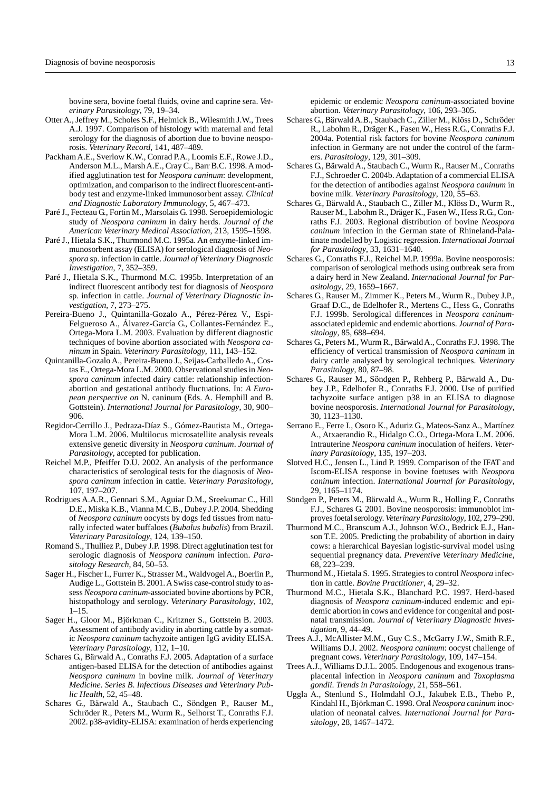bovine sera, bovine foetal fluids, ovine and caprine sera. *Veterinary Parasitology*, 79, 19–34.

- Otter A., Jeffrey M., Scholes S.F., Helmick B., Wilesmith J.W., Trees A.J. 1997. Comparison of histology with maternal and fetal serology for the diagnosis of abortion due to bovine neosporosis. *Veterinary Record*, 141, 487–489.
- Packham A.E., Sverlow K.W., Conrad P.A., Loomis E.F., Rowe J.D., Anderson M.L., Marsh A.E., Cray C., Barr B.C. 1998. A modified agglutination test for *Neospora caninum*: development, optimization, and comparison to the indirect fluorescent-antibody test and enzyme-linked immunosorbent assay. *Clinical and Diagnostic Laboratory Immunology*, 5, 467–473.
- Paré J., Fecteau G., Fortin M., Marsolais G. 1998. Seroepidemiologic study of *Neospora caninum* in dairy herds. *Journal of the American Veterinary Medical Association*, 213, 1595–1598.
- Paré J., Hietala S.K., Thurmond M.C. 1995a. An enzyme-linked immunosorbent assay (ELISA) for serological diagnosis of *Neospora* sp. infection in cattle. *Journal of Veterinary Diagnostic Investigation*, 7, 352–359.
- Paré J., Hietala S.K., Thurmond M.C. 1995b. Interpretation of an indirect fluorescent antibody test for diagnosis of *Neospora* sp. infection in cattle. *Journal of Veterinary Diagnostic Investigation*, 7, 273–275.
- Pereira-Bueno J., Quintanilla-Gozalo A., Pérez-Pérez V., Espi-Felgueroso A., Álvarez-García G., Collantes-Fernández E., Ortega-Mora L.M. 2003. Evaluation by different diagnostic techniques of bovine abortion associated with *Neospora caninum* in Spain. *Veterinary Parasitology*, 111, 143–152.
- Quintanilla-Gozalo A., Pereira-Bueno J., Seijas-Carballedo A., Costas E., Ortega-Mora L.M. 2000. Observational studies in *Neospora caninum* infected dairy cattle: relationship infectionabortion and gestational antibody fluctuations. In: *A European perspective on* N. caninum (Eds. A. Hemphill and B. Gottstein). *International Journal for Parasitology*, 30, 900– 906.
- Regidor-Cerrillo J., Pedraza-Díaz S., Gómez-Bautista M., Ortega-Mora L.M. 2006. Multilocus microsatellite analysis reveals extensive genetic diversity in *Neospora caninum*. *Journal of Parasitology*, accepted for publication.
- Reichel M.P., Pfeiffer D.U. 2002. An analysis of the performance characteristics of serological tests for the diagnosis of *Neospora caninum* infection in cattle. *Veterinary Parasitology*, 107, 197–207.
- Rodrigues A.A.R., Gennari S.M., Aguiar D.M., Sreekumar C., Hill D.E., Miska K.B., Vianna M.C.B., Dubey J.P. 2004. Shedding of *Neospora caninum* oocysts by dogs fed tissues from naturally infected water buffaloes (*Bubalus bubalis*) from Brazil. *Veterinary Parasitology*, 124, 139–150.
- Romand S., Thulliez P., Dubey J.P. 1998. Direct agglutination test for serologic diagnosis of *Neospora caninum* infection. *Parasitology Research*, 84, 50–53.
- Sager H., Fischer I., Furrer K., Strasser M., Waldvogel A., Boerlin P., Audige L., Gottstein B. 2001. ASwiss case-control study to assess *Neospora caninum*-associated bovine abortions by PCR, histopathology and serology. *Veterinary Parasitology*, 102,  $1 - 15$ .
- Sager H., Gloor M., Björkman C., Kritzner S., Gottstein B. 2003. Assessment of antibody avidity in aborting cattle by a somatic *Neospora caninum* tachyzoite antigen IgG avidity ELISA. *Veterinary Parasitology*, 112, 1–10.
- Schares G., Bärwald A., Conraths F.J. 2005. Adaptation of a surface antigen-based ELISA for the detection of antibodies against *Neospora caninum* in bovine milk. *Journal of Veterinary Medicine*. *Series B*. *Infectious Diseases and Veterinary Public Health*, 52, 45–48.
- Schares G., Bärwald A., Staubach C., Söndgen P., Rauser M., Schröder R., Peters M., Wurm R., Selhorst T., Conraths F.J. 2002. p38-avidity-ELISA: examination of herds experiencing

epidemic or endemic *Neospora caninum*-associated bovine abortion. *Veterinary Parasitology*, 106, 293–305.

- Schares G., Bärwald A.B., Staubach C., Ziller M., Klöss D., Schröder R., Labohm R., Dräger K., Fasen W., Hess R.G., Conraths F.J. 2004a. Potential risk factors for bovine *Neospora caninum* infection in Germany are not under the control of the farmers. *Parasitology*, 129, 301–309.
- Schares G., Bärwald A., Staubach C., Wurm R., Rauser M., Conraths F.J., Schroeder C. 2004b. Adaptation of a commercial ELISA for the detection of antibodies against *Neospora caninum* in bovine milk. *Veterinary Parasitology*, 120, 55–63.
- Schares G., Bärwald A., Staubach C., Ziller M., Klöss D., Wurm R., Rauser M., Labohm R., Dräger K., Fasen W., Hess R.G., Conraths F.J. 2003. Regional distribution of bovine *Neospora caninum* infection in the German state of Rhineland-Palatinate modelled by Logistic regression. *International Journal for Parasitology*, 33, 1631–1640.
- Schares G., Conraths F.J., Reichel M.P. 1999a. Bovine neosporosis: comparison of serological methods using outbreak sera from a dairy herd in New Zealand. *International Journal for Parasitology*, 29, 1659–1667.
- Schares G., Rauser M., Zimmer K., Peters M., Wurm R., Dubey J.P., Graaf D.C., de Edelhofer R., Mertens C., Hess G., Conraths F.J. 1999b. Serological differences in *Neospora caninum*associated epidemic and endemic abortions. *Journal of Parasitology*, 85, 688–694.
- Schares G., Peters M., Wurm R., Bärwald A., Conraths F.J. 1998. The efficiency of vertical transmission of *Neospora caninum* in dairy cattle analysed by serological techniques. *Veterinary Parasitology*, 80, 87–98.
- Schares G., Rauser M., Söndgen P., Rehberg P., Bärwald A., Dubey J.P., Edelhofer R., Conraths F.J. 2000. Use of purified tachyzoite surface antigen p38 in an ELISA to diagnose bovine neosporosis. *International Journal for Parasitology*, 30, 1123–1130.
- Serrano E., Ferre I., Osoro K., Aduriz G., Mateos-Sanz A., Martínez A., Atxaerandio R., Hidalgo C.O., Ortega-Mora L.M. 2006. Intrauterine *Neospora caninum* inoculation of heifers. *Veterinary Parasitology*, 135, 197–203.
- Slotved H.C., Jensen L., Lind P. 1999. Comparison of the IFAT and Iscom-ELISA response in bovine foetuses with *Neospora caninum* infection. *International Journal for Parasitology*, 29, 1165–1174.
- Söndgen P., Peters M., Bärwald A., Wurm R., Holling F., Conraths F.J., Schares G. 2001. Bovine neosporosis: immunoblot improves foetal serology. *Veterinary Parasitology*, 102, 279–290.
- Thurmond M.C., Branscum A.J., Johnson W.O., Bedrick E.J., Hanson T.E. 2005. Predicting the probability of abortion in dairy cows: a hierarchical Bayesian logistic-survival model using sequential pregnancy data. *Preventive Veterinary Medicine*, 68, 223–239.
- Thurmond M., Hietala S. 1995. Strategies to control *Neospora* infection in cattle. *Bovine Practitioner*, 4, 29–32.
- Thurmond M.C., Hietala S.K., Blanchard P.C. 1997. Herd-based diagnosis of *Neospora caninum*-induced endemic and epidemic abortion in cows and evidence for congenital and postnatal transmission. *Journal of Veterinary Diagnostic Investigation*, 9, 44–49.
- Trees A.J., McAllister M.M., Guy C.S., McGarry J.W., Smith R.F., Williams D.J. 2002. *Neospora caninum*: oocyst challenge of pregnant cows. *Veterinary Parasitology*, 109, 147–154.
- Trees A.J., Williams D.J.L. 2005. Endogenous and exogenous transplacental infection in *Neospora caninum* and *Toxoplasma gondii*. *Trends in Parasitology*, 21, 558–561.
- Uggla A., Stenlund S., Holmdahl O.J., Jakubek E.B., Thebo P., Kindahl H., Björkman C. 1998. Oral *Neospora caninum* inoculation of neonatal calves. *International Journal for Parasitology*, 28, 1467–1472.